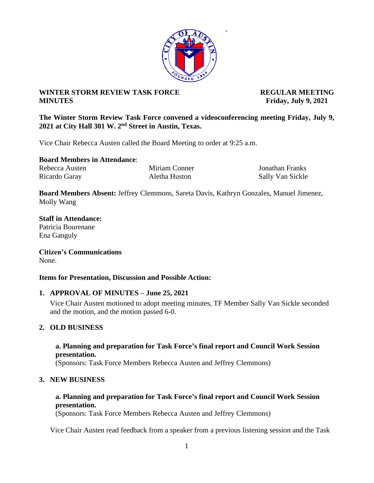### **WINTER STORM REVIEW TASK FORCE REGULAR MEETING MINUTES Friday, July 9, 2021**

**The Winter Storm Review Task Force convened a videoconferencing meeting Friday, July 9, 2021 at City Hall 301 W. 2nd Street in Austin, Texas.**

Vice Chair Rebecca Austen called the Board Meeting to order at 9:25 a.m.

**Board Members in Attendance**:

Rebecca Austen Miriam Conner Jonathan Franks Ricardo Garay **Aletha Huston** Sally Van Sickle

**Board Members Absent:** Jeffrey Clemmons, Sareta Davis, Kathryn Gonzales, Manuel Jimenez, Molly Wang

**Staff in Attendance:** Patricia Bourenane Ena Ganguly

**Citizen's Communications** None.

### **Items for Presentation, Discussion and Possible Action:**

### **1. APPROVAL OF MINUTES – June 25, 2021**

Vice Chair Austen motioned to adopt meeting minutes, TF Member Sally Van Sickle seconded and the motion, and the motion passed 6-0.

## **2. OLD BUSINESS**

### **a. Planning and preparation for Task Force's final report and Council Work Session presentation.**

(Sponsors: Task Force Members Rebecca Austen and Jeffrey Clemmons)

### **3. NEW BUSINESS**

### **a. Planning and preparation for Task Force's final report and Council Work Session presentation.**

(Sponsors: Task Force Members Rebecca Austen and Jeffrey Clemmons)

Vice Chair Austen read feedback from a speaker from a previous listening session and the Task



**`**